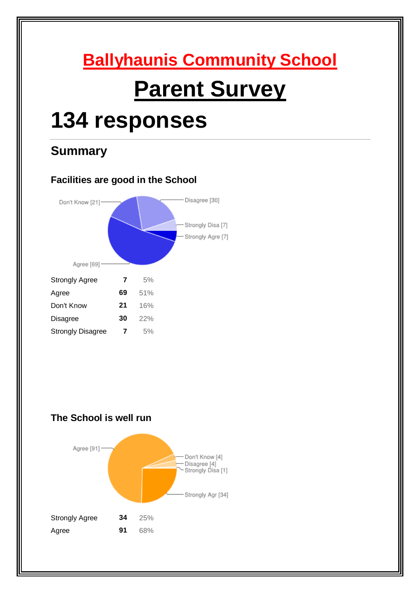# **Ballyhaunis Community School Parent Survey**

# **134 responses**

# **Summary**



# **The School is well run**

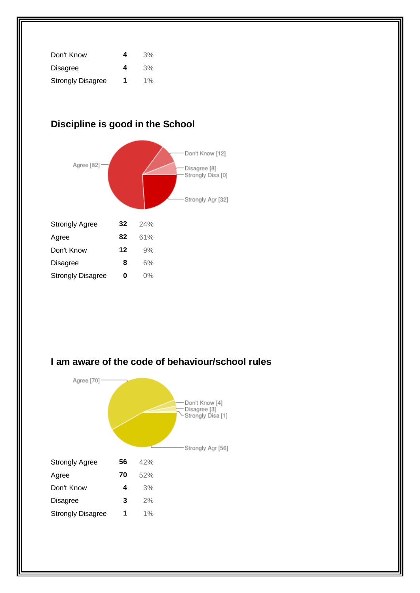| Don't Know               | 4 | 3%    |
|--------------------------|---|-------|
| <b>Disagree</b>          | 4 | 3%    |
| <b>Strongly Disagree</b> | 1 | $1\%$ |

# **Discipline is good in the School**



# **I am aware of the code of behaviour/school rules**

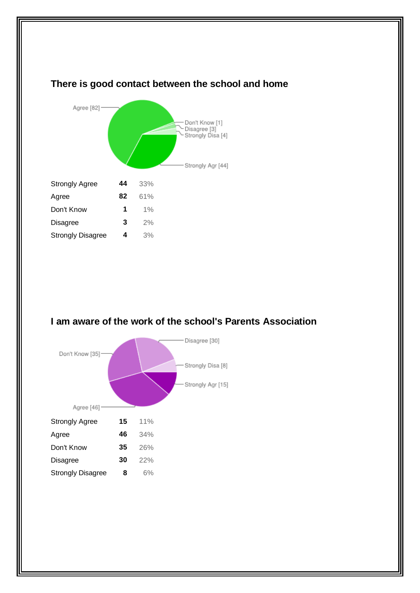## **There is good contact between the school and home**



## **I am aware of the work of the school's Parents Association**

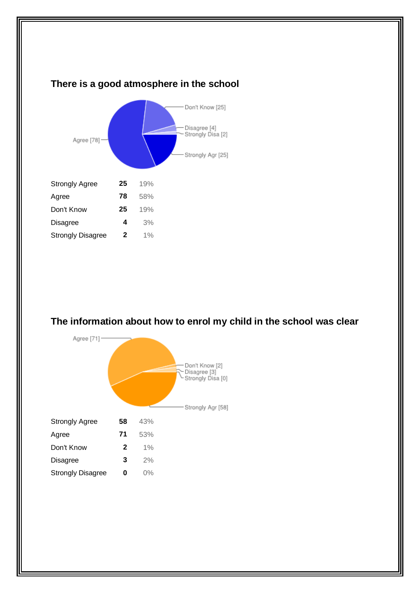

## **The information about how to enrol my child in the school was clear**

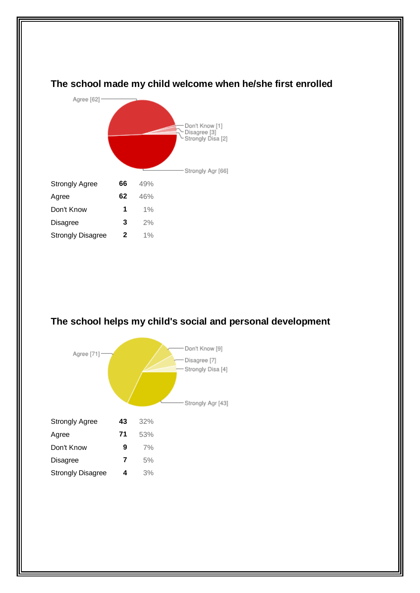## **The school made my child welcome when he/she first enrolled**



## **The school helps my child's social and personal development**

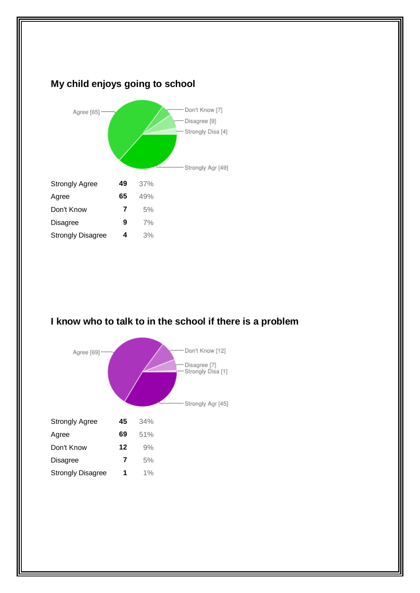

## **I know who to talk to in the school if there is a problem**

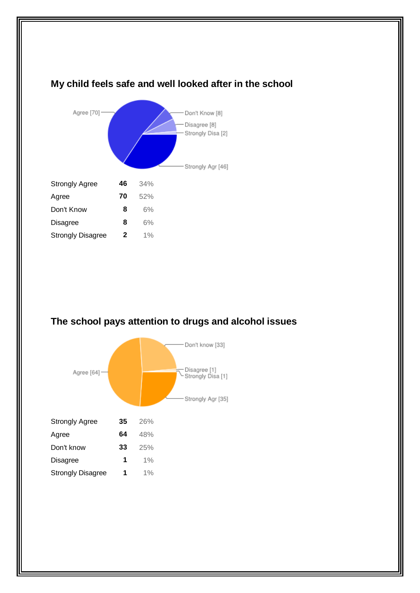

# **The school pays attention to drugs and alcohol issues**

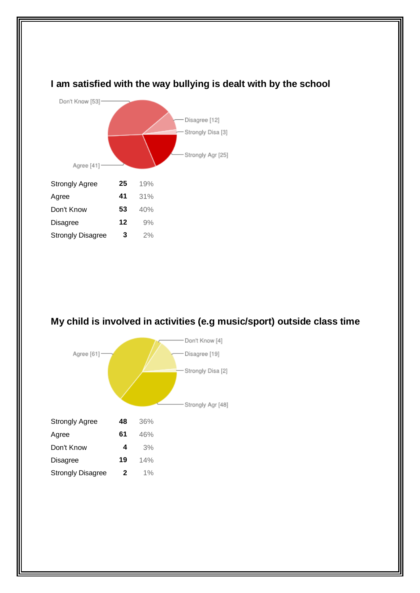

# **I am satisfied with the way bullying is dealt with by the school**

# **My child is involved in activities (e.g music/sport) outside class time**

|                          |    |       | Don't Know [4]    |
|--------------------------|----|-------|-------------------|
| Agree [61]-              |    |       | Disagree [19]     |
|                          |    |       | Strongly Disa [2] |
|                          |    |       | Strongly Agr [48] |
| <b>Strongly Agree</b>    | 48 | 36%   |                   |
| Agree                    | 61 | 46%   |                   |
| Don't Know               | 4  | 3%    |                   |
| <b>Disagree</b>          | 19 | 14%   |                   |
| <b>Strongly Disagree</b> | 2  | $1\%$ |                   |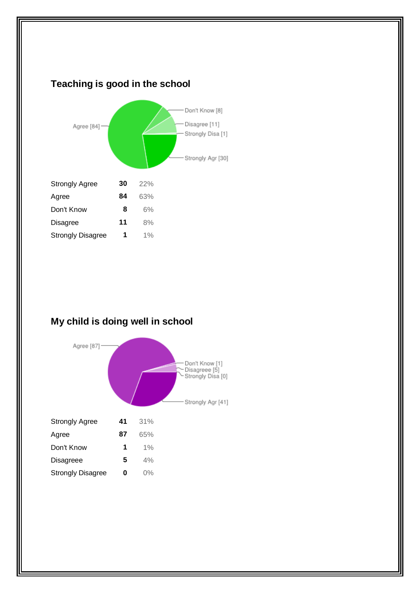

# **My child is doing well in school**

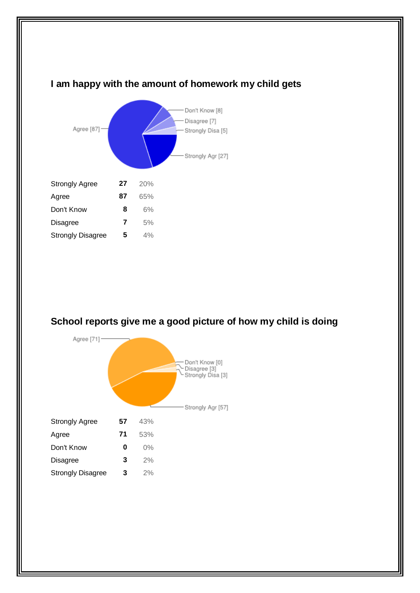

## **I am happy with the amount of homework my child gets**

## **School reports give me a good picture of how my child is doing**

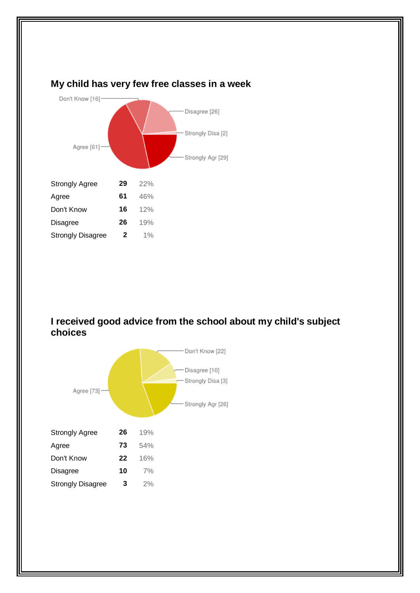

### **I received good advice from the school about my child's subject choices**



## **My child has very few free classes in a week**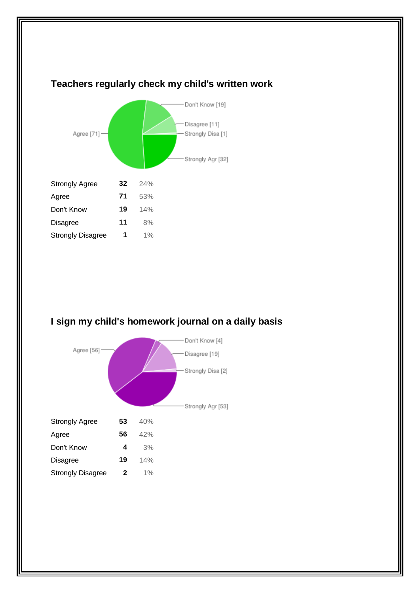

# **I sign my child's homework journal on a daily basis**



# **Teachers regularly check my child's written work**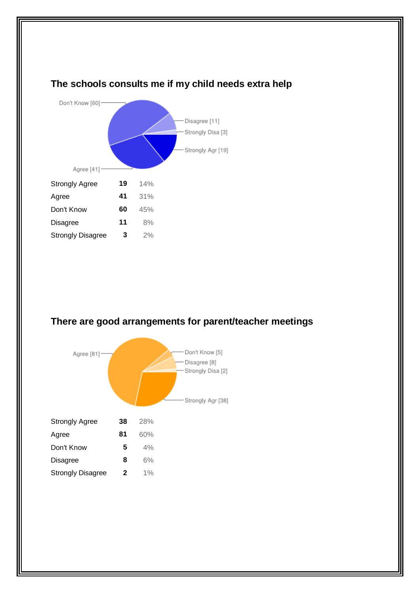

# **The schools consults me if my child needs extra help**

## **There are good arrangements for parent/teacher meetings**

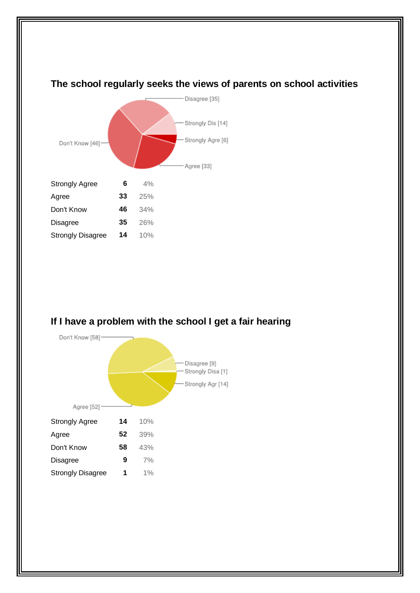



#### **If I have a problem with the school I get a fair hearing**